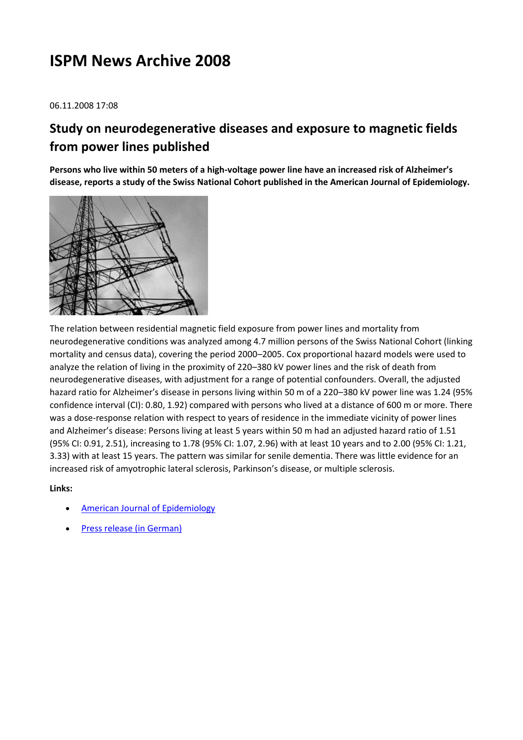# **ISPM News Archive 2008**

06.11.2008 17:08

## **Study on neurodegenerative diseases and exposure to magnetic fields from power lines published**

**Persons who live within 50 meters of a high-voltage power line have an increased risk of Alzheimer's disease, reports a study of the Swiss National Cohort published in the American Journal of Epidemiology.**



The relation between residential magnetic field exposure from power lines and mortality from neurodegenerative conditions was analyzed among 4.7 million persons of the Swiss National Cohort (linking mortality and census data), covering the period 2000–2005. Cox proportional hazard models were used to analyze the relation of living in the proximity of 220–380 kV power lines and the risk of death from neurodegenerative diseases, with adjustment for a range of potential confounders. Overall, the adjusted hazard ratio for Alzheimer's disease in persons living within 50 m of a 220–380 kV power line was 1.24 (95% confidence interval (CI): 0.80, 1.92) compared with persons who lived at a distance of 600 m or more. There was a dose-response relation with respect to years of residence in the immediate vicinity of power lines and Alzheimer's disease: Persons living at least 5 years within 50 m had an adjusted hazard ratio of 1.51 (95% CI: 0.91, 2.51), increasing to 1.78 (95% CI: 1.07, 2.96) with at least 10 years and to 2.00 (95% CI: 1.21, 3.33) with at least 15 years. The pattern was similar for senile dementia. There was little evidence for an increased risk of amyotrophic lateral sclerosis, Parkinson's disease, or multiple sclerosis.

- [American Journal of Epidemiology](http://aje.oxfordjournals.org/cgi/content/abstract/kwn297)
- [Press release \(in German\)](http://www.kommunikation.unibe.ch/content/medien/medienmitteilungen/news/2008/alzheimer_risiko/index_ger.html)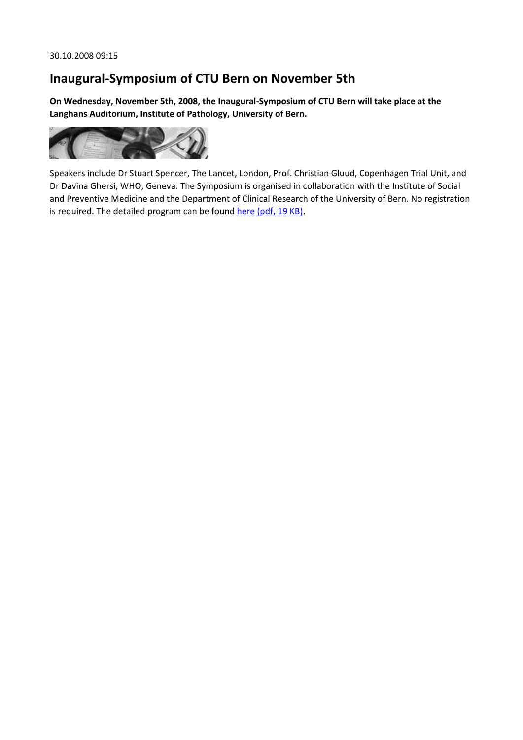### **Inaugural-Symposium of CTU Bern on November 5th**

**On Wednesday, November 5th, 2008, the Inaugural-Symposium of CTU Bern will take place at the Langhans Auditorium, Institute of Pathology, University of Bern.**



Speakers include Dr Stuart Spencer, The Lancet, London, Prof. Christian Gluud, Copenhagen Trial Unit, and Dr Davina Ghersi, WHO, Geneva. The Symposium is organised in collaboration with the Institute of Social and Preventive Medicine and the Department of Clinical Research of the University of Bern. No registration is required. The detailed program can be foun[d here \(pdf, 19 KB\).](http://www.ispm.ch/fileadmin/doc_download/News/News_0810_Inaugural-Symposium_CTU_Bern.pdf)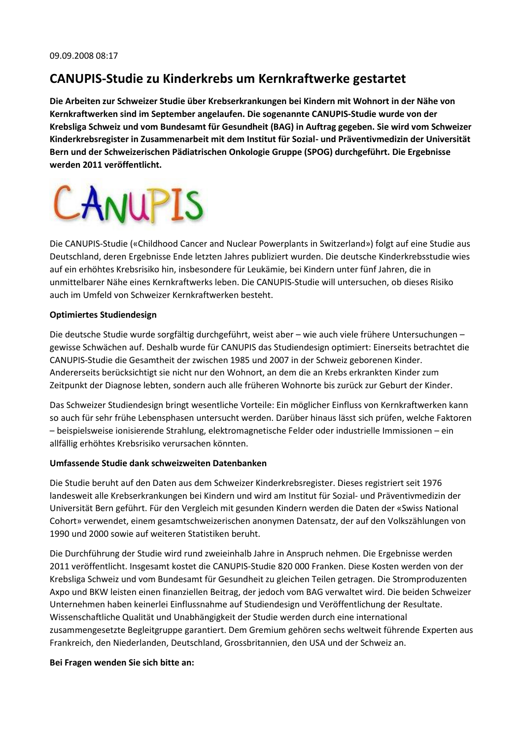#### **CANUPIS-Studie zu Kinderkrebs um Kernkraftwerke gestartet**

**Die Arbeiten zur Schweizer Studie über Krebserkrankungen bei Kindern mit Wohnort in der Nähe von Kernkraftwerken sind im September angelaufen. Die sogenannte CANUPIS-Studie wurde von der Krebsliga Schweiz und vom Bundesamt für Gesundheit (BAG) in Auftrag gegeben. Sie wird vom Schweizer Kinderkrebsregister in Zusammenarbeit mit dem Institut für Sozial- und Präventivmedizin der Universität Bern und der Schweizerischen Pädiatrischen Onkologie Gruppe (SPOG) durchgeführt. Die Ergebnisse werden 2011 veröffentlicht.**



Die CANUPIS-Studie («Childhood Cancer and Nuclear Powerplants in Switzerland») folgt auf eine Studie aus Deutschland, deren Ergebnisse Ende letzten Jahres publiziert wurden. Die deutsche Kinderkrebsstudie wies auf ein erhöhtes Krebsrisiko hin, insbesondere für Leukämie, bei Kindern unter fünf Jahren, die in unmittelbarer Nähe eines Kernkraftwerks leben. Die CANUPIS-Studie will untersuchen, ob dieses Risiko auch im Umfeld von Schweizer Kernkraftwerken besteht.

#### **Optimiertes Studiendesign**

Die deutsche Studie wurde sorgfältig durchgeführt, weist aber – wie auch viele frühere Untersuchungen – gewisse Schwächen auf. Deshalb wurde für CANUPIS das Studiendesign optimiert: Einerseits betrachtet die CANUPIS-Studie die Gesamtheit der zwischen 1985 und 2007 in der Schweiz geborenen Kinder. Andererseits berücksichtigt sie nicht nur den Wohnort, an dem die an Krebs erkrankten Kinder zum Zeitpunkt der Diagnose lebten, sondern auch alle früheren Wohnorte bis zurück zur Geburt der Kinder.

Das Schweizer Studiendesign bringt wesentliche Vorteile: Ein möglicher Einfluss von Kernkraftwerken kann so auch für sehr frühe Lebensphasen untersucht werden. Darüber hinaus lässt sich prüfen, welche Faktoren – beispielsweise ionisierende Strahlung, elektromagnetische Felder oder industrielle Immissionen – ein allfällig erhöhtes Krebsrisiko verursachen könnten.

#### **Umfassende Studie dank schweizweiten Datenbanken**

Die Studie beruht auf den Daten aus dem Schweizer Kinderkrebsregister. Dieses registriert seit 1976 landesweit alle Krebserkrankungen bei Kindern und wird am Institut für Sozial- und Präventivmedizin der Universität Bern geführt. Für den Vergleich mit gesunden Kindern werden die Daten der «Swiss National Cohort» verwendet, einem gesamtschweizerischen anonymen Datensatz, der auf den Volkszählungen von 1990 und 2000 sowie auf weiteren Statistiken beruht.

Die Durchführung der Studie wird rund zweieinhalb Jahre in Anspruch nehmen. Die Ergebnisse werden 2011 veröffentlicht. Insgesamt kostet die CANUPIS-Studie 820 000 Franken. Diese Kosten werden von der Krebsliga Schweiz und vom Bundesamt für Gesundheit zu gleichen Teilen getragen. Die Stromproduzenten Axpo und BKW leisten einen finanziellen Beitrag, der jedoch vom BAG verwaltet wird. Die beiden Schweizer Unternehmen haben keinerlei Einflussnahme auf Studiendesign und Veröffentlichung der Resultate. Wissenschaftliche Qualität und Unabhängigkeit der Studie werden durch eine international zusammengesetzte Begleitgruppe garantiert. Dem Gremium gehören sechs weltweit führende Experten aus Frankreich, den Niederlanden, Deutschland, Grossbritannien, den USA und der Schweiz an.

#### **Bei Fragen wenden Sie sich bitte an:**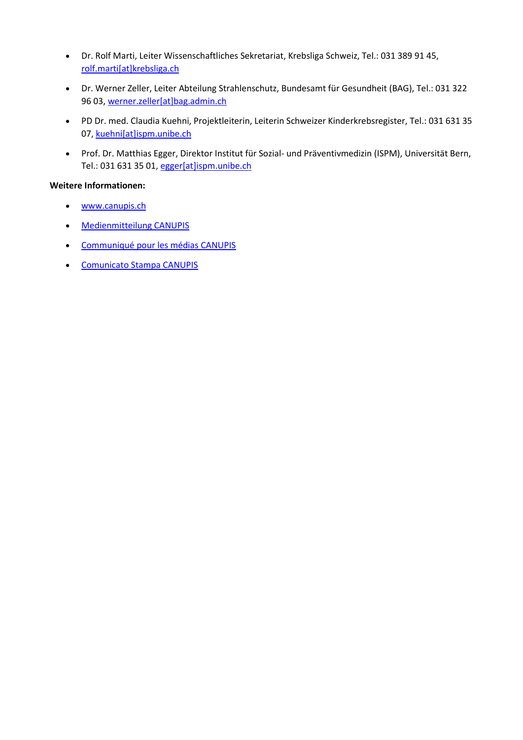- Dr. Rolf Marti, Leiter Wissenschaftliches Sekretariat, Krebsliga Schweiz, Tel.: 031 389 91 45, [rolf.marti\[at\]krebsliga.ch](javascript:linkTo_UnCryptMailto()
- Dr. Werner Zeller, Leiter Abteilung Strahlenschutz, Bundesamt für Gesundheit (BAG), Tel.: 031 322 96 03[, werner.zeller\[at\]bag.admin.ch](javascript:linkTo_UnCryptMailto()
- PD Dr. med. Claudia Kuehni, Projektleiterin, Leiterin Schweizer Kinderkrebsregister, Tel.: 031 631 35 07, [kuehni\[at\]ispm.unibe.ch](javascript:linkTo_UnCryptMailto()
- Prof. Dr. Matthias Egger, Direktor Institut für Sozial- und Präventivmedizin (ISPM), Universität Bern, Tel.: 031 631 35 01[, egger\[at\]ispm.unibe.ch](javascript:linkTo_UnCryptMailto()

#### **Weitere Informationen:**

- [www.canupis.ch](http://www.canupis.ch/)
- [Medienmitteilung CANUPIS](http://www.ispm.ch/fileadmin/doc_download/News_050908_Medienmitteilung_CANUPIS_d.pdf)
- [Communiqué pour les médias CANUPIS](http://www.ispm.ch/fileadmin/doc_download/News_050908_Medienmitteilung_CANUPIS_f.pdf)
- [Comunicato Stampa CANUPIS](http://www.ispm.ch/fileadmin/doc_download/News_050908_Medienmitteilung_CANUPIS_i.pdf)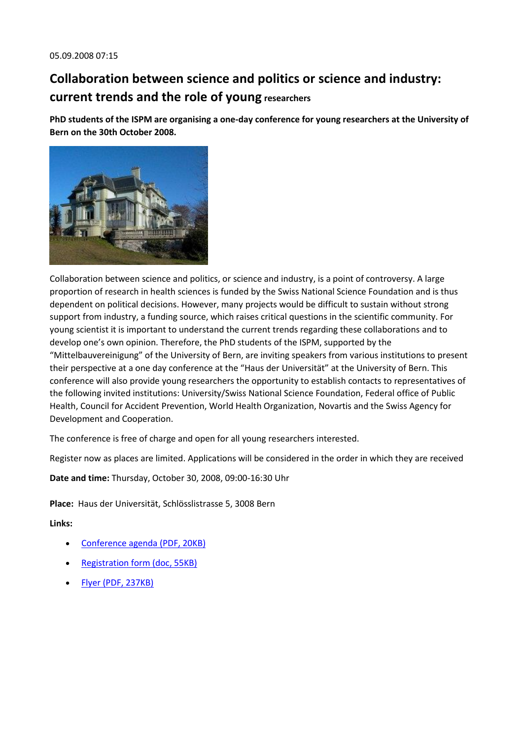## **Collaboration between science and politics or science and industry: current trends and the role of young researchers**

**PhD students of the ISPM are organising a one-day conference for young researchers at the University of Bern on the 30th October 2008.**



Collaboration between science and politics, or science and industry, is a point of controversy. A large proportion of research in health sciences is funded by the Swiss National Science Foundation and is thus dependent on political decisions. However, many projects would be difficult to sustain without strong support from industry, a funding source, which raises critical questions in the scientific community. For young scientist it is important to understand the current trends regarding these collaborations and to develop one's own opinion. Therefore, the PhD students of the ISPM, supported by the "Mittelbauvereinigung" of the University of Bern, are inviting speakers from various institutions to present their perspective at a one day conference at the "Haus der Universität" at the University of Bern. This conference will also provide young researchers the opportunity to establish contacts to representatives of the following invited institutions: University/Swiss National Science Foundation, Federal office of Public Health, Council for Accident Prevention, World Health Organization, Novartis and the Swiss Agency for Development and Cooperation.

The conference is free of charge and open for all young researchers interested.

Register now as places are limited. Applications will be considered in the order in which they are received

**Date and time:** Thursday, October 30, 2008, 09:00-16:30 Uhr

**Place:** Haus der Universität, Schlösslistrasse 5, 3008 Bern

- [Conference agenda \(PDF, 20KB\)](http://www.ispm.ch/fileadmin/doc_download/Phd_agenda.pdf)
- [Registration form \(doc, 55KB\)](http://www.ispm.ch/fileadmin/doc_download/Phd_registration_form.doc)
- [Flyer \(PDF, 237KB\)](http://www.ispm.ch/fileadmin/doc_download/Phd_Flyer.pdf)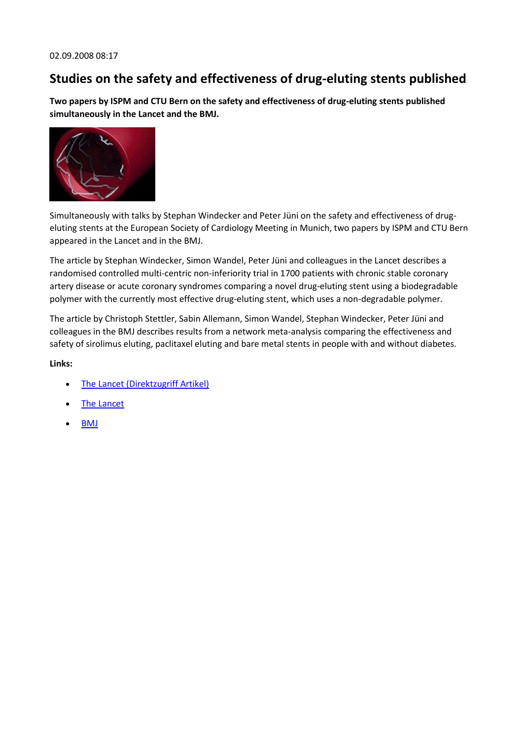### **Studies on the safety and effectiveness of drug-eluting stents published**

**Two papers by ISPM and CTU Bern on the safety and effectiveness of drug-eluting stents published simultaneously in the Lancet and the BMJ.**



Simultaneously with talks by Stephan Windecker and Peter Jüni on the safety and effectiveness of drugeluting stents at the European Society of Cardiology Meeting in Munich, two papers by ISPM and CTU Bern appeared in the Lancet and in the BMJ.

The article by Stephan Windecker, Simon Wandel, Peter Jüni and colleagues in the Lancet describes a randomised controlled multi-centric non-inferiority trial in 1700 patients with chronic stable coronary artery disease or acute coronary syndromes comparing a novel drug-eluting stent using a biodegradable polymer with the currently most effective drug-eluting stent, which uses a non-degradable polymer.

The article by Christoph Stettler, Sabin Allemann, Simon Wandel, Stephan Windecker, Peter Jüni and colleagues in the BMJ describes results from a network meta-analysis comparing the effectiveness and safety of sirolimus eluting, paclitaxel eluting and bare metal stents in people with and without diabetes.

- [The Lancet \(Direktzugriff Artikel\)](http://www.sciencedirect.com/science?_ob=ArticleURL&_udi=B6T1B-4TBHJYC-1&_user=946156&_rdoc=1&_fmt=&_orig=search&_sort=d&view=c&_acct=C000049003&_version=1&_urlVersion=0&_userid=946156&md5=63a9be5129af76d608aea611a7d09160http://www.ncbi.nlm.nih.gov/entrez/query.fcgi?)
- [The Lancet](http://www.thelancet.com/journals/lancet/article/PIIS0140673608612441/fulltext?)
- **[BMJ](http://www.bmj.com/cgi/content/full/337/aug29_3/a1331?ijkey=VyyDkBuKBZlAXa4&keytype=ref)**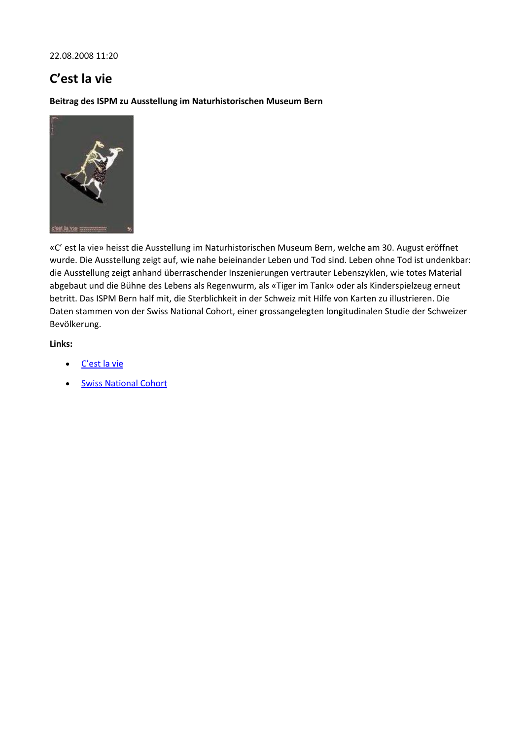22.08.2008 11:20

### **C'est la vie**

**Beitrag des ISPM zu Ausstellung im Naturhistorischen Museum Bern**



«C' est la vie» heisst die Ausstellung im Naturhistorischen Museum Bern, welche am 30. August eröffnet wurde. Die Ausstellung zeigt auf, wie nahe beieinander Leben und Tod sind. Leben ohne Tod ist undenkbar: die Ausstellung zeigt anhand überraschender Inszenierungen vertrauter Lebenszyklen, wie totes Material abgebaut und die Bühne des Lebens als Regenwurm, als «Tiger im Tank» oder als Kinderspielzeug erneut betritt. Das ISPM Bern half mit, die Sterblichkeit in der Schweiz mit Hilfe von Karten zu illustrieren. Die Daten stammen von der Swiss National Cohort, einer grossangelegten longitudinalen Studie der Schweizer Bevölkerung.

- [C'est la vie](http://www.nmbe.unibe.ch/deutsch/frameset_110.html)
- [Swiss National Cohort](http://www.swissnationalcohort.ch/)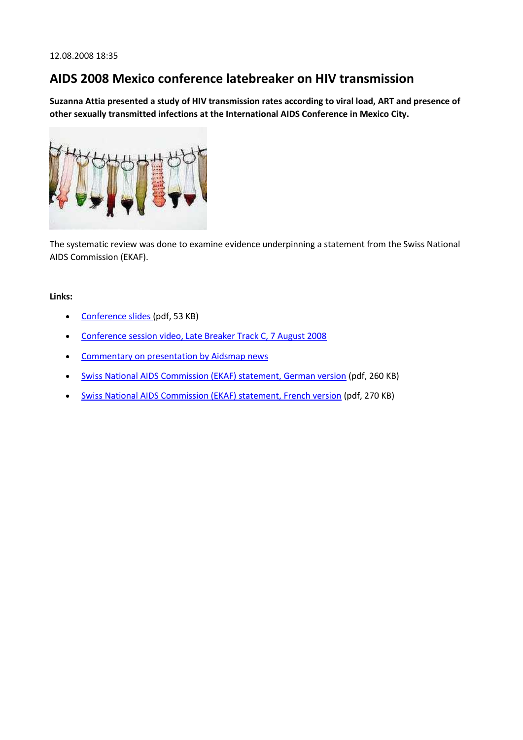### **AIDS 2008 Mexico conference latebreaker on HIV transmission**

**Suzanna Attia presented a study of HIV transmission rates according to viral load, ART and presence of other sexually transmitted infections at the International AIDS Conference in Mexico City.**



The systematic review was done to examine evidence underpinning a statement from the Swiss National AIDS Commission (EKAF).

- [Conference slides \(](http://www.ispm.ch/fileadmin/doc_download/News_Aids_Slides_Attia_THACO5_final.pdf)pdf, 53 KB)
- [Conference session video, Late Breaker Track C, 7 August 2008](http://www.kaisernetwork.org/health_cast/hcast_index.cfm?display=detail&hc=2942)
- Commentary on presentation by Aidsmap news
- [Swiss National AIDS Commission \(EKAF\) statement, German version](http://www.ispm.ch/fileadmin/doc_download/News_Aids_165-169_W_Org_u_I_d_05.pdf) (pdf, 260 KB)
- [Swiss National AIDS Commission \(EKAF\) statement, French version](http://www.ispm.ch/fileadmin/doc_download/News_Aids_165-169_W_Org_u_I_f_05.pdf) (pdf, 270 KB)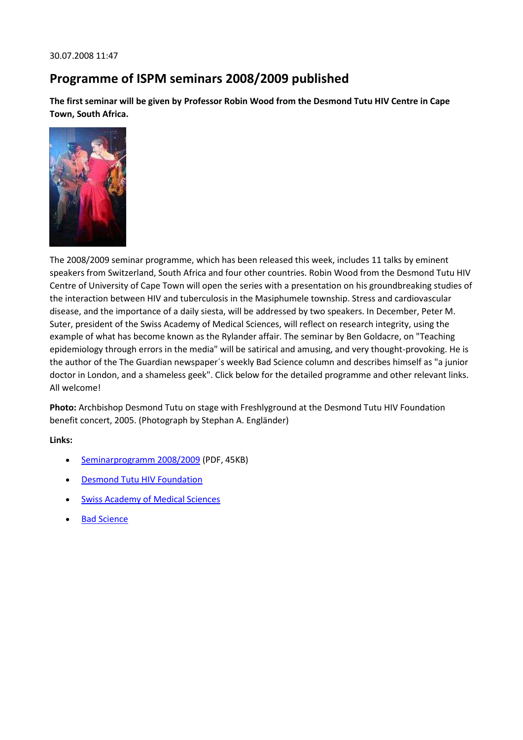### **Programme of ISPM seminars 2008/2009 published**

**The first seminar will be given by Professor Robin Wood from the Desmond Tutu HIV Centre in Cape Town, South Africa.**



The 2008/2009 seminar programme, which has been released this week, includes 11 talks by eminent speakers from Switzerland, South Africa and four other countries. Robin Wood from the Desmond Tutu HIV Centre of University of Cape Town will open the series with a presentation on his groundbreaking studies of the interaction between HIV and tuberculosis in the Masiphumele township. Stress and cardiovascular disease, and the importance of a daily siesta, will be addressed by two speakers. In December, Peter M. Suter, president of the Swiss Academy of Medical Sciences, will reflect on research integrity, using the example of what has become known as the Rylander affair. The seminar by Ben Goldacre, on "Teaching epidemiology through errors in the media" will be satirical and amusing, and very thought-provoking. He is the author of the The Guardian newspaper´s weekly Bad Science column and describes himself as "a junior doctor in London, and a shameless geek". Click below for the detailed programme and other relevant links. All welcome!

**Photo:** Archbishop Desmond Tutu on stage with Freshlyground at the Desmond Tutu HIV Foundation benefit concert, 2005. (Photograph by Stephan A. Engländer)

- [Seminarprogramm 2008/2009](http://www.ispm.ch/fileadmin/doc_download/Seminarprogramm_2008_2009.pdf) (PDF, 45KB)
- [Desmond Tutu HIV Foundation](http://www.desmondtutuhivcentre.org.za/)
- [Swiss Academy of Medical Sciences](http://www.samw.ch/)
- [Bad Science](http://www.badscience.net/)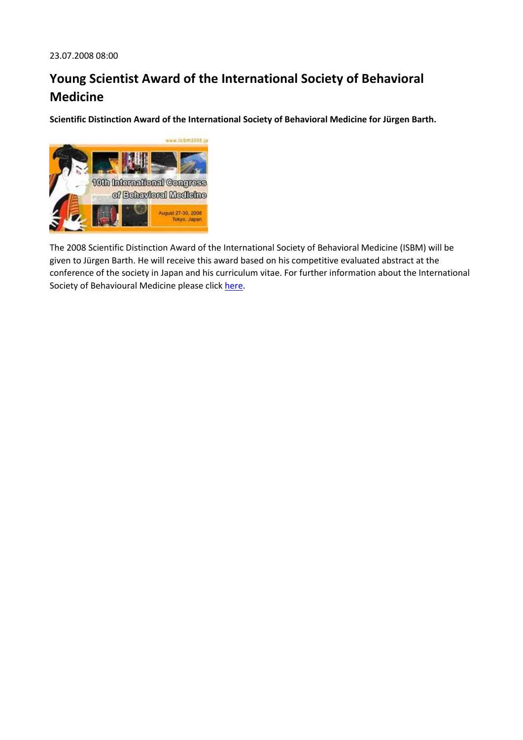# **Young Scientist Award of the International Society of Behavioral Medicine**

**Scientific Distinction Award of the International Society of Behavioral Medicine for Jürgen Barth.**



The 2008 Scientific Distinction Award of the International Society of Behavioral Medicine (ISBM) will be given to Jürgen Barth. He will receive this award based on his competitive evaluated abstract at the conference of the society in Japan and his curriculum vitae. For further information about the International Society of Behavioural Medicine please click [here.](http://www.isbm.info/files/ISBM%20Organisational%20Presentation_12_07_2007.ppt)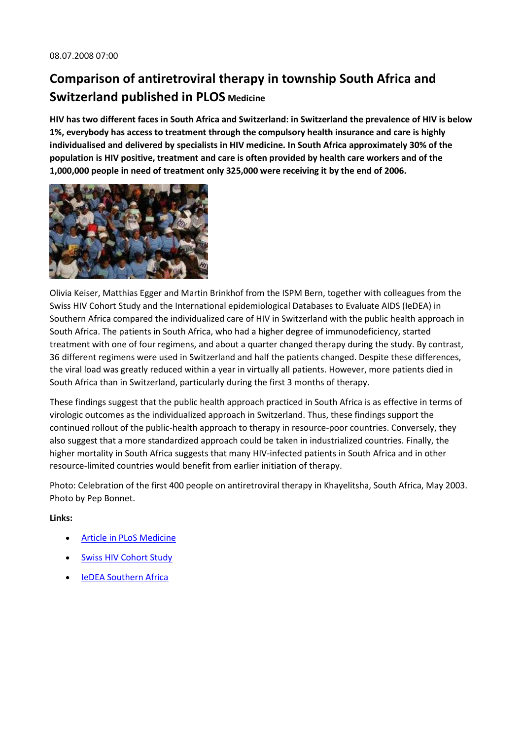# **Comparison of antiretroviral therapy in township South Africa and Switzerland published in PLOS Medicine**

**HIV has two different faces in South Africa and Switzerland: in Switzerland the prevalence of HIV is below 1%, everybody has access to treatment through the compulsory health insurance and care is highly individualised and delivered by specialists in HIV medicine. In South Africa approximately 30% of the population is HIV positive, treatment and care is often provided by health care workers and of the 1,000,000 people in need of treatment only 325,000 were receiving it by the end of 2006.**



Olivia Keiser, Matthias Egger and Martin Brinkhof from the ISPM Bern, together with colleagues from the Swiss HIV Cohort Study and the International epidemiological Databases to Evaluate AIDS (IeDEA) in Southern Africa compared the individualized care of HIV in Switzerland with the public health approach in South Africa. The patients in South Africa, who had a higher degree of immunodeficiency, started treatment with one of four regimens, and about a quarter changed therapy during the study. By contrast, 36 different regimens were used in Switzerland and half the patients changed. Despite these differences, the viral load was greatly reduced within a year in virtually all patients. However, more patients died in South Africa than in Switzerland, particularly during the first 3 months of therapy.

These findings suggest that the public health approach practiced in South Africa is as effective in terms of virologic outcomes as the individualized approach in Switzerland. Thus, these findings support the continued rollout of the public-health approach to therapy in resource-poor countries. Conversely, they also suggest that a more standardized approach could be taken in industrialized countries. Finally, the higher mortality in South Africa suggests that many HIV-infected patients in South Africa and in other resource-limited countries would benefit from earlier initiation of therapy.

Photo: Celebration of the first 400 people on antiretroviral therapy in Khayelitsha, South Africa, May 2003. Photo by Pep Bonnet.

- [Article in PLoS Medicine](http://medicine.plosjournals.org/perlserv/?request=get-document&doi=10.1371/journal.pmed.0050148)
- [Swiss HIV Cohort Study](http://www.shcs.ch/)
- [IeDEA Southern Africa](http://www.iedea-sa.org/)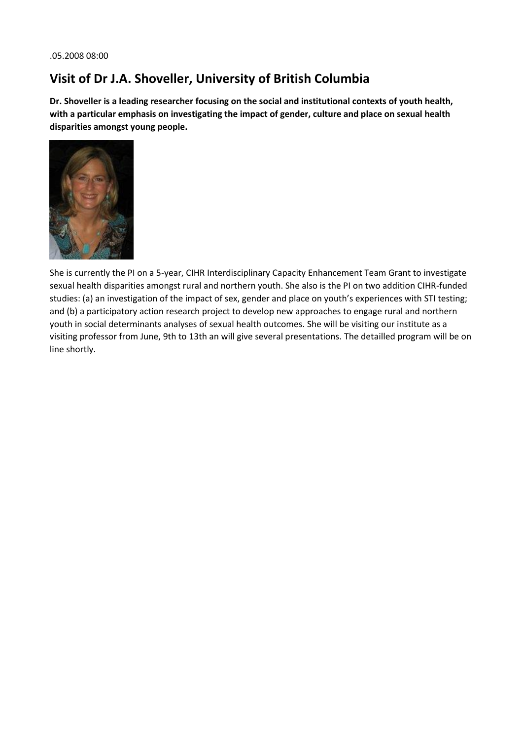### **Visit of Dr J.A. Shoveller, University of British Columbia**

**Dr. Shoveller is a leading researcher focusing on the social and institutional contexts of youth health, with a particular emphasis on investigating the impact of gender, culture and place on sexual health disparities amongst young people.**



She is currently the PI on a 5-year, CIHR Interdisciplinary Capacity Enhancement Team Grant to investigate sexual health disparities amongst rural and northern youth. She also is the PI on two addition CIHR-funded studies: (a) an investigation of the impact of sex, gender and place on youth's experiences with STI testing; and (b) a participatory action research project to develop new approaches to engage rural and northern youth in social determinants analyses of sexual health outcomes. She will be visiting our institute as a visiting professor from June, 9th to 13th an will give several presentations. The detailled program will be on line shortly.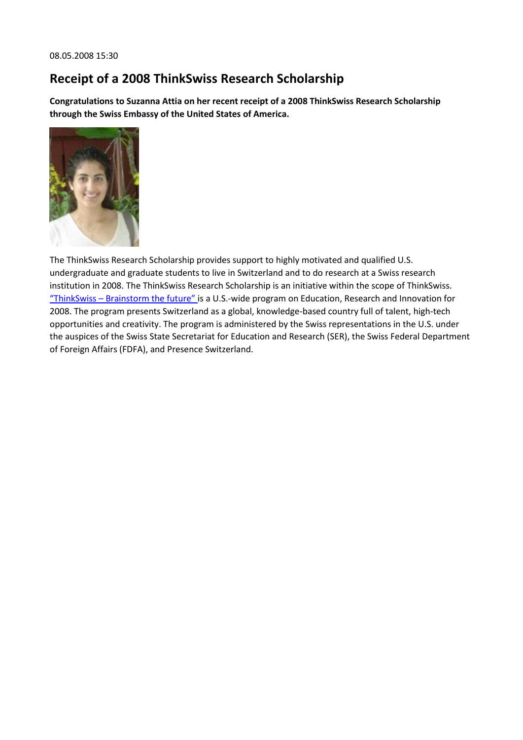### **Receipt of a 2008 ThinkSwiss Research Scholarship**

**Congratulations to Suzanna Attia on her recent receipt of a 2008 ThinkSwiss Research Scholarship through the Swiss Embassy of the United States of America.**



The ThinkSwiss Research Scholarship provides support to highly motivated and qualified U.S. undergraduate and graduate students to live in Switzerland and to do research at a Swiss research institution in 2008. The ThinkSwiss Research Scholarship is an initiative within the scope of ThinkSwiss. "ThinkSwiss – [Brainstorm the future"](http://www.thinkswiss.org/) is a U.S.-wide program on Education, Research and Innovation for 2008. The program presents Switzerland as a global, knowledge-based country full of talent, high-tech opportunities and creativity. The program is administered by the Swiss representations in the U.S. under the auspices of the Swiss State Secretariat for Education and Research (SER), the Swiss Federal Department of Foreign Affairs (FDFA), and Presence Switzerland.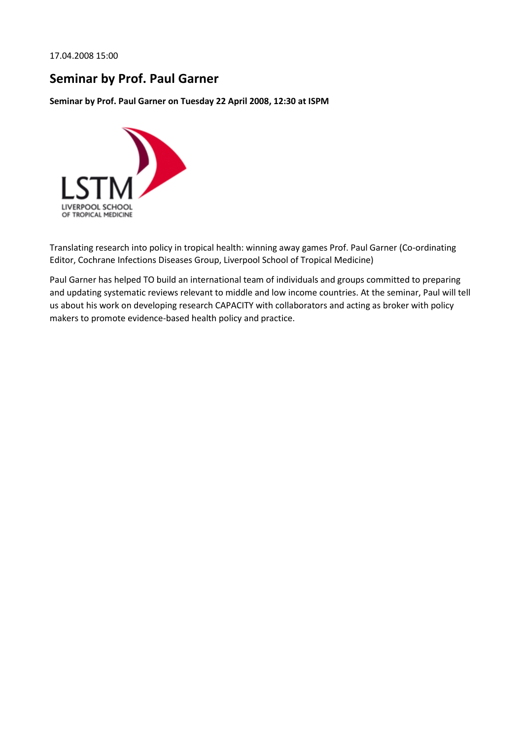17.04.2008 15:00

#### **Seminar by Prof. Paul Garner**

**Seminar by Prof. Paul Garner on Tuesday 22 April 2008, 12:30 at ISPM**



Translating research into policy in tropical health: winning away games Prof. Paul Garner (Co-ordinating Editor, Cochrane Infections Diseases Group, Liverpool School of Tropical Medicine)

Paul Garner has helped TO build an international team of individuals and groups committed to preparing and updating systematic reviews relevant to middle and low income countries. At the seminar, Paul will tell us about his work on developing research CAPACITY with collaborators and acting as broker with policy makers to promote evidence-based health policy and practice.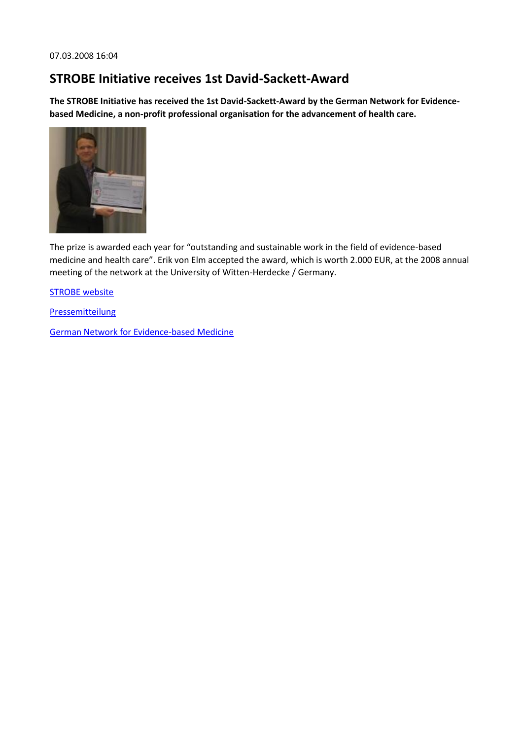#### **STROBE Initiative receives 1st David-Sackett-Award**

**The STROBE Initiative has received the 1st David-Sackett-Award by the German Network for Evidencebased Medicine, a non-profit professional organisation for the advancement of health care.**



The prize is awarded each year for "outstanding and sustainable work in the field of evidence-based medicine and health care". Erik von Elm accepted the award, which is worth 2.000 EUR, at the 2008 annual meeting of the network at the University of Witten-Herdecke / Germany.

**[STROBE website](http://www.strobe-statement.org/)** 

**[Pressemitteilung](http://www.ebm-netzwerk.de/aktuelles/news2008_02_23)** 

[German Network for Evidence-based Medicine](http://www.ebm-netzwerk.de/english)